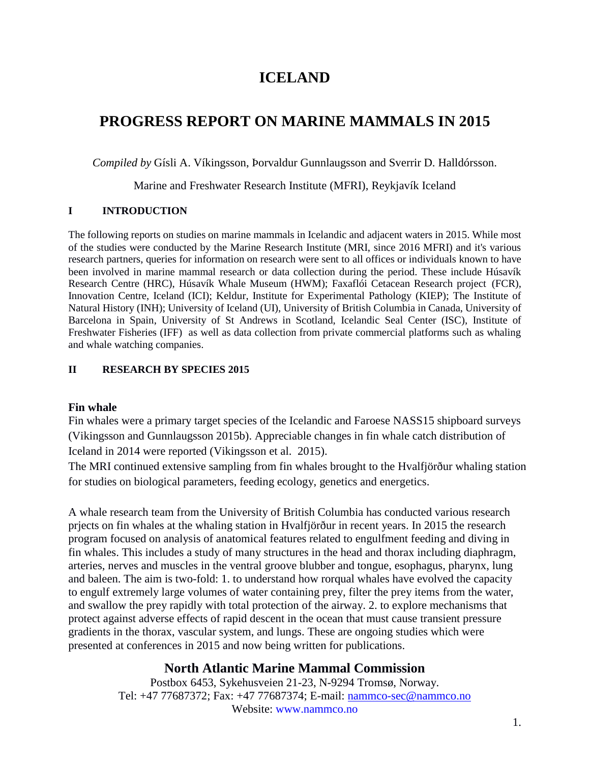# **ICELAND**

# **PROGRESS REPORT ON MARINE MAMMALS IN 2015**

*Compiled by* Gísli A. Víkingsson, Þorvaldur Gunnlaugsson and Sverrir D. Halldórsson.

Marine and Freshwater Research Institute (MFRI), Reykjavík Iceland

### **I INTRODUCTION**

The following reports on studies on marine mammals in Icelandic and adjacent waters in 2015. While most of the studies were conducted by the Marine Research Institute (MRI, since 2016 MFRI) and it's various research partners, queries for information on research were sent to all offices or individuals known to have been involved in marine mammal research or data collection during the period. These include Húsavík Research Centre (HRC), Húsavík Whale Museum (HWM); Faxaflói Cetacean Research project (FCR), Innovation Centre, Iceland (ICI); Keldur, Institute for Experimental Pathology (KIEP); The Institute of Natural History (INH); University of Iceland (UI), University of British Columbia in Canada, University of Barcelona in Spain, University of St Andrews in Scotland, Icelandic Seal Center (ISC), Institute of Freshwater Fisheries (IFF) as well as data collection from private commercial platforms such as whaling and whale watching companies.

### **II RESEARCH BY SPECIES 2015**

### **Fin whale**

Fin whales were a primary target species of the Icelandic and Faroese NASS15 shipboard surveys (Vikingsson and Gunnlaugsson 2015b). Appreciable changes in fin whale catch distribution of Iceland in 2014 were reported (Vikingsson et al. 2015).

The MRI continued extensive sampling from fin whales brought to the Hvalfjörður whaling station for studies on biological parameters, feeding ecology, genetics and energetics.

A whale research team from the University of British Columbia has conducted various research prjects on fin whales at the whaling station in Hvalfjörður in recent years. In 2015 the research program focused on analysis of anatomical features related to engulfment feeding and diving in fin whales. This includes a study of many structures in the head and thorax including diaphragm, arteries, nerves and muscles in the ventral groove blubber and tongue, esophagus, pharynx, lung and baleen. The aim is two-fold: 1. to understand how rorqual whales have evolved the capacity to engulf extremely large volumes of water containing prey, filter the prey items from the water, and swallow the prey rapidly with total protection of the airway. 2. to explore mechanisms that protect against adverse effects of rapid descent in the ocean that must cause transient pressure gradients in the thorax, vascular system, and lungs. These are ongoing studies which were presented at conferences in 2015 and now being written for publications.

## **North Atlantic Marine Mammal Commission**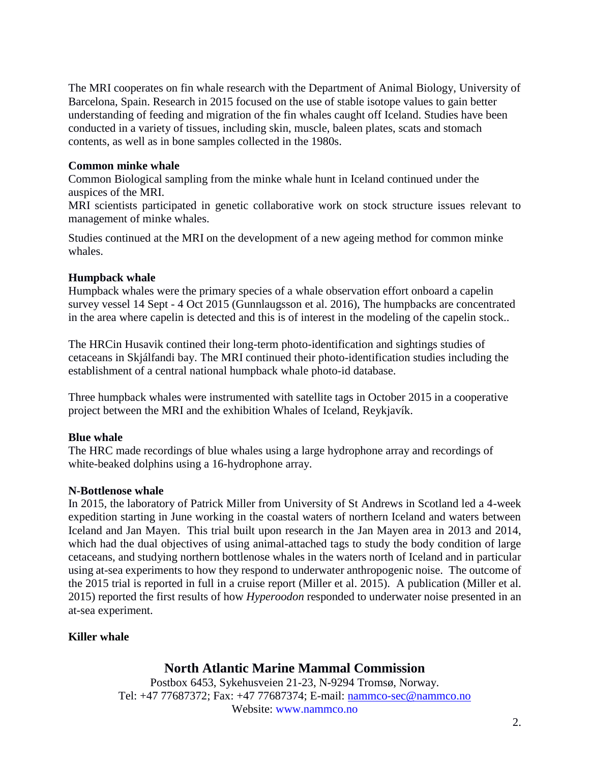The MRI cooperates on fin whale research with the Department of Animal Biology, University of Barcelona, Spain. Research in 2015 focused on the use of stable isotope values to gain better understanding of feeding and migration of the fin whales caught off Iceland. Studies have been conducted in a variety of tissues, including skin, muscle, baleen plates, scats and stomach contents, as well as in bone samples collected in the 1980s.

### **Common minke whale**

Common Biological sampling from the minke whale hunt in Iceland continued under the auspices of the MRI.

MRI scientists participated in genetic collaborative work on stock structure issues relevant to management of minke whales.

Studies continued at the MRI on the development of a new ageing method for common minke whales.

### **Humpback whale**

Humpback whales were the primary species of a whale observation effort onboard a capelin survey vessel 14 Sept - 4 Oct 2015 (Gunnlaugsson et al. 2016), The humpbacks are concentrated in the area where capelin is detected and this is of interest in the modeling of the capelin stock..

The HRCin Husavik contined their long-term photo-identification and sightings studies of cetaceans in Skjálfandi bay. The MRI continued their photo-identification studies including the establishment of a central national humpback whale photo-id database.

Three humpback whales were instrumented with satellite tags in October 2015 in a cooperative project between the MRI and the exhibition Whales of Iceland, Reykjavík.

### **Blue whale**

The HRC made recordings of blue whales using a large hydrophone array and recordings of white-beaked dolphins using a 16-hydrophone array.

### **N-Bottlenose whale**

In 2015, the laboratory of Patrick Miller from University of St Andrews in Scotland led a 4-week expedition starting in June working in the coastal waters of northern Iceland and waters between Iceland and Jan Mayen. This trial built upon research in the Jan Mayen area in 2013 and 2014, which had the dual objectives of using animal-attached tags to study the body condition of large cetaceans, and studying northern bottlenose whales in the waters north of Iceland and in particular using at-sea experiments to how they respond to underwater anthropogenic noise. The outcome of the 2015 trial is reported in full in a cruise report (Miller et al. 2015). A publication (Miller et al. 2015) reported the first results of how *Hyperoodon* responded to underwater noise presented in an at-sea experiment.

### **Killer whale**

## **North Atlantic Marine Mammal Commission**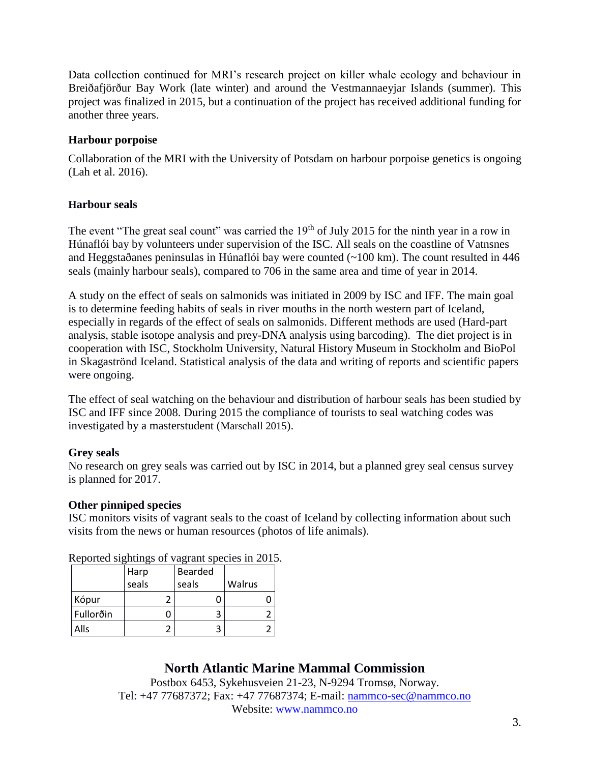Data collection continued for MRI's research project on killer whale ecology and behaviour in Breiðafjörður Bay Work (late winter) and around the Vestmannaeyjar Islands (summer). This project was finalized in 2015, but a continuation of the project has received additional funding for another three years.

### **Harbour porpoise**

Collaboration of the MRI with the University of Potsdam on harbour porpoise genetics is ongoing (Lah et al. 2016).

### **Harbour seals**

The event "The great seal count" was carried the 19<sup>th</sup> of July 2015 for the ninth year in a row in Húnaflói bay by volunteers under supervision of the ISC. All seals on the coastline of Vatnsnes and Heggstaðanes peninsulas in Húnaflói bay were counted (~100 km). The count resulted in 446 seals (mainly harbour seals), compared to 706 in the same area and time of year in 2014.

A study on the effect of seals on salmonids was initiated in 2009 by ISC and IFF. The main goal is to determine feeding habits of seals in river mouths in the north western part of Iceland, especially in regards of the effect of seals on salmonids. Different methods are used (Hard-part analysis, stable isotope analysis and prey-DNA analysis using barcoding). The diet project is in cooperation with ISC, Stockholm University, Natural History Museum in Stockholm and BioPol in Skagaströnd Iceland. Statistical analysis of the data and writing of reports and scientific papers were ongoing.

The effect of seal watching on the behaviour and distribution of harbour seals has been studied by ISC and IFF since 2008. During 2015 the compliance of tourists to seal watching codes was investigated by a masterstudent (Marschall 2015).

## **Grey seals**

No research on grey seals was carried out by ISC in 2014, but a planned grey seal census survey is planned for 2017.

### **Other pinniped species**

ISC monitors visits of vagrant seals to the coast of Iceland by collecting information about such visits from the news or human resources (photos of life animals).

| $\alpha$ and $\alpha$ is $\alpha$ in $\alpha$ is $\alpha$ in $\alpha$ in $\alpha$ is $\alpha$ is $\alpha$ is $\alpha$ is $\alpha$ is $\alpha$ is $\alpha$ is $\alpha$ is $\alpha$ is $\alpha$ is $\alpha$ is $\alpha$ is $\alpha$ is $\alpha$ is $\alpha$ is $\alpha$ is $\alpha$ is $\alpha$ is $\alpha$ is $\alpha$ is $\alpha$ is $\alpha$ |       |         |        |
|-----------------------------------------------------------------------------------------------------------------------------------------------------------------------------------------------------------------------------------------------------------------------------------------------------------------------------------------------|-------|---------|--------|
|                                                                                                                                                                                                                                                                                                                                               | Harp  | Bearded |        |
|                                                                                                                                                                                                                                                                                                                                               | seals | seals   | Walrus |
| Kópur                                                                                                                                                                                                                                                                                                                                         |       |         |        |
| Fullorðin                                                                                                                                                                                                                                                                                                                                     |       | ੨       |        |
| Alls                                                                                                                                                                                                                                                                                                                                          |       |         |        |

Reported sightings of vagrant species in 2015.

# **North Atlantic Marine Mammal Commission**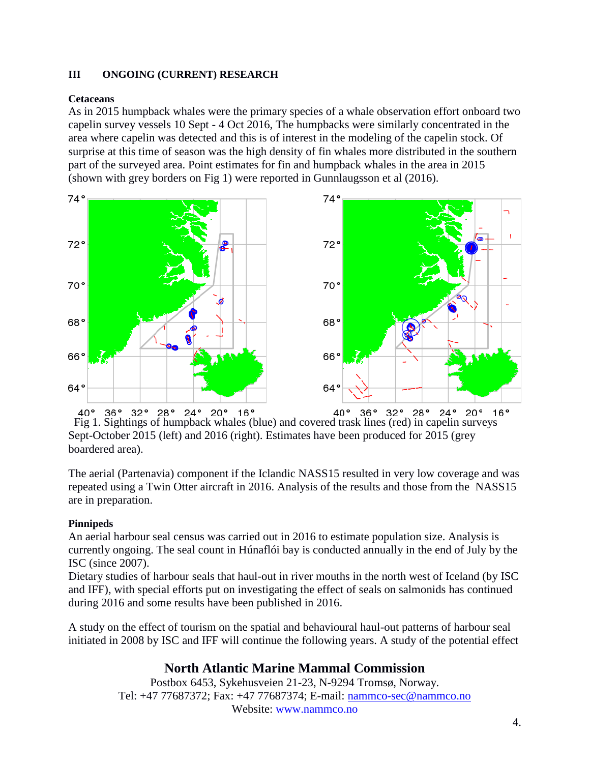### **III ONGOING (CURRENT) RESEARCH**

### **Cetaceans**

As in 2015 humpback whales were the primary species of a whale observation effort onboard two capelin survey vessels 10 Sept - 4 Oct 2016, The humpbacks were similarly concentrated in the area where capelin was detected and this is of interest in the modeling of the capelin stock. Of surprise at this time of season was the high density of fin whales more distributed in the southern part of the surveyed area. Point estimates for fin and humpback whales in the area in 2015 (shown with grey borders on Fig 1) were reported in Gunnlaugsson et al (2016).



Fig 1. Sightings of humpback whales (blue) and covered trask lines (red) in capelin surveys Sept-October 2015 (left) and 2016 (right). Estimates have been produced for 2015 (grey boardered area).

The aerial (Partenavia) component if the Iclandic NASS15 resulted in very low coverage and was repeated using a Twin Otter aircraft in 2016. Analysis of the results and those from the NASS15 are in preparation.

### **Pinnipeds**

An aerial harbour seal census was carried out in 2016 to estimate population size. Analysis is currently ongoing. The seal count in Húnaflói bay is conducted annually in the end of July by the ISC (since 2007).

Dietary studies of harbour seals that haul-out in river mouths in the north west of Iceland (by ISC and IFF), with special efforts put on investigating the effect of seals on salmonids has continued during 2016 and some results have been published in 2016.

A study on the effect of tourism on the spatial and behavioural haul-out patterns of harbour seal initiated in 2008 by ISC and IFF will continue the following years. A study of the potential effect

# **North Atlantic Marine Mammal Commission**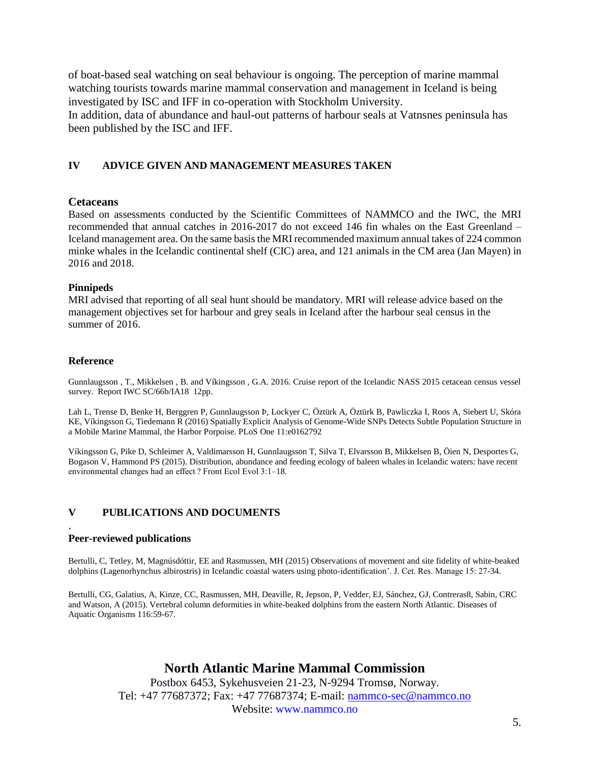of boat-based seal watching on seal behaviour is ongoing. The perception of marine mammal watching tourists towards marine mammal conservation and management in Iceland is being investigated by ISC and IFF in co-operation with Stockholm University.

In addition, data of abundance and haul-out patterns of harbour seals at Vatnsnes peninsula has been published by the ISC and IFF.

#### **IV ADVICE GIVEN AND MANAGEMENT MEASURES TAKEN**

#### **Cetaceans**

Based on assessments conducted by the Scientific Committees of NAMMCO and the IWC, the MRI recommended that annual catches in 2016-2017 do not exceed 146 fin whales on the East Greenland – Iceland management area. On the same basis the MRI recommended maximum annual takes of 224 common minke whales in the Icelandic continental shelf (CIC) area, and 121 animals in the CM area (Jan Mayen) in 2016 and 2018.

#### **Pinnipeds**

MRI advised that reporting of all seal hunt should be mandatory. MRI will release advice based on the management objectives set for harbour and grey seals in Iceland after the harbour seal census in the summer of 2016.

#### **Reference**

.

Gunnlaugsson , T., Mikkelsen , B. and Víkingsson , G.A. 2016. Cruise report of the Icelandic NASS 2015 cetacean census vessel survey. Report IWC SC/66b/IA18 12pp.

Lah L, Trense D, Benke H, Berggren P, Gunnlaugsson Þ, Lockyer C, Öztürk A, Öztürk B, Pawliczka I, Roos A, Siebert U, Skóra KE, Víkingsson G, Tiedemann R (2016) Spatially Explicit Analysis of Genome-Wide SNPs Detects Subtle Population Structure in a Mobile Marine Mammal, the Harbor Porpoise. PLoS One 11:e0162792

Víkingsson G, Pike D, Schleimer A, Valdimarsson H, Gunnlaugsson T, Silva T, Elvarsson B, Mikkelsen B, Öien N, Desportes G, Bogason V, Hammond PS (2015). Distribution, abundance and feeding ecology of baleen whales in Icelandic waters: have recent environmental changes had an effect ? Front Ecol Evol 3:1–18.

### **V PUBLICATIONS AND DOCUMENTS**

#### **Peer-reviewed publications**

Bertulli, C, Tetley, M, Magnúsdóttir, EE and Rasmussen, MH (2015) Observations of movement and site fidelity of white-beaked dolphins (Lagenorhynchus albirostris) in Icelandic coastal waters using photo-identification'. J. Cet. Res. Manage 15: 27-34.

Bertulli, CG, Galatius, A, Kinze, CC, Rasmussen, MH, Deaville, R, Jepson, P, Vedder, EJ, Sánchez, GJ, Contreras8, Sabin, CRC and Watson, A (2015). Vertebral column deformities in white-beaked dolphins from the eastern North Atlantic. Diseases of Aquatic Organisms 116:59-67.

## **North Atlantic Marine Mammal Commission**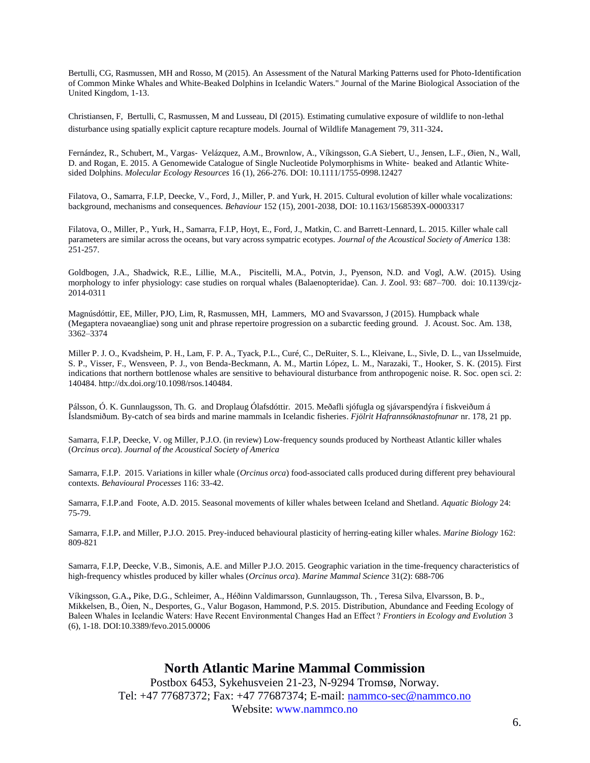Bertulli, CG, Rasmussen, MH and Rosso, M (2015). An Assessment of the Natural Marking Patterns used for Photo-Identification of Common Minke Whales and White-Beaked Dolphins in Icelandic Waters." Journal of the Marine Biological Association of the United Kingdom, 1-13.

Christiansen, F, Bertulli, C, Rasmussen, M and Lusseau, Dl (2015). Estimating cumulative exposure of wildlife to non-lethal disturbance using spatially explicit capture recapture models. Journal of Wildlife Management 79, 311-324.

Fernández, R., Schubert, M., Vargas‐ Velázquez, A.M., Brownlow, A., Víkingsson, G.A Siebert, U., Jensen, L.F., Øien, N., Wall, D. and Rogan, E. 2015. A Genomewide Catalogue of Single Nucleotide Polymorphisms in White-beaked and Atlantic Whitesided Dolphins. *Molecular Ecology Resources* 16 (1), 266-276. DOI: 10.1111/1755-0998.12427

Filatova, O., Samarra, F.I.P, Deecke, V., Ford, J., Miller, P. and Yurk, H. 2015. Cultural evolution of killer whale vocalizations: background, mechanisms and consequences. *Behaviour* 152 (15), 2001-2038, DOI: 10.1163/1568539X-00003317

Filatova, O., Miller, P., Yurk, H., Samarra, F.I.P, Hoyt, E., Ford, J., Matkin, C. and Barrett-Lennard, L. 2015. Killer whale call parameters are similar across the oceans, but vary across sympatric ecotypes. *Journal of the Acoustical Society of America* 138: 251-257.

Goldbogen, J.A., Shadwick, R.E., Lillie, M.A., Piscitelli, M.A., Potvin, J., Pyenson, N.D. and Vogl, A.W. (2015). Using morphology to infer physiology: case studies on rorqual whales (Balaenopteridae). Can. J. Zool. 93: 687–700. doi: 10.1139/cjz-2014-0311

Magnúsdóttir, EE, Miller, PJO, Lim, R, Rasmussen, MH, Lammers, MO and Svavarsson, J (2015). Humpback whale (Megaptera novaeangliae) song unit and phrase repertoire progression on a subarctic feeding ground. J. Acoust. Soc. Am. 138, 3362–3374

Miller P. J. O., Kvadsheim, P. H., Lam, F. P. A., Tyack, P.L., Curé, C., DeRuiter, S. L., Kleivane, L., Sivle, D. L., van IJsselmuide, S. P., Visser, F., Wensveen, P. J., von Benda-Beckmann, A. M., Martin López, L. M., Narazaki, T., Hooker, S. K. (2015). First indications that northern bottlenose whales are sensitive to behavioural disturbance from anthropogenic noise. R. Soc. open sci. 2: 140484[. http://dx.doi.org/10.1098/rsos.140484.](http://dx.doi.org/10.1098/rsos.140484)

Pálsson, Ó. K. Gunnlaugsson, Th. G.and Droplaug Ólafsdóttir. 2015. Meðafli sjófugla og sjávarspendýra í fiskveiðum á Íslandsmiðum. By-catch of sea birds and marine mammals in Icelandic fisheries. *Fjölrit Hafrannsóknastofnunar* nr. 178, 21 pp.

Samarra, F.I.P, Deecke, V. og Miller, P.J.O. (in review) Low-frequency sounds produced by Northeast Atlantic killer whales (*Orcinus orca*). *Journal of the Acoustical Society of America*

Samarra, F.I.P. 2015. Variations in killer whale (*Orcinus orca*) food-associated calls produced during different prey behavioural contexts. *Behavioural Processes* 116: 33-42.

Samarra, F.I.P.and Foote, A.D. 2015. Seasonal movements of killer whales between Iceland and Shetland. *Aquatic Biology* 24: 75-79.

Samarra, F.I.P**.** and Miller, P.J.O. 2015. Prey-induced behavioural plasticity of herring-eating killer whales. *Marine Biology* 162: 809-821

Samarra, F.I.P, Deecke, V.B., Simonis, A.E. and Miller P.J.O. 2015. Geographic variation in the time-frequency characteristics of high-frequency whistles produced by killer whales (*Orcinus orca*). *Marine Mammal Science* 31(2): 688-706

Víkingsson, G.A.**,** Pike, D.G., Schleimer, A., Héðinn Valdimarsson, Gunnlaugsson, Th. , Teresa Silva, Elvarsson, B. Þ., Mikkelsen, B., Öien, N., Desportes, G., Valur Bogason, Hammond, P.S. 2015. Distribution, Abundance and Feeding Ecology of Baleen Whales in Icelandic Waters: Have Recent Environmental Changes Had an Effect ? *Frontiers in Ecology and Evolution* 3 (6), 1-18. DOI:10.3389/fevo.2015.00006

### **North Atlantic Marine Mammal Commission**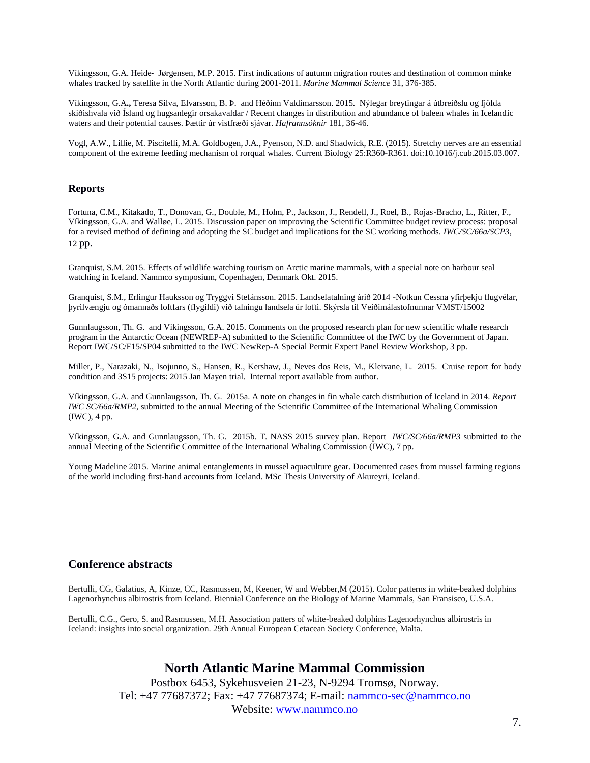Víkingsson, G.A. Heide‐ Jørgensen, M.P. 2015. First indications of autumn migration routes and destination of common minke whales tracked by satellite in the North Atlantic during 2001-2011. *Marine Mammal Science* 31, 376-385.

Víkingsson, G.A**.,** Teresa Silva, Elvarsson, B. Þ. and Héðinn Valdimarsson. 2015. Nýlegar breytingar á útbreiðslu og fjölda skíðishvala við Ísland og hugsanlegir orsakavaldar / Recent changes in distribution and abundance of baleen whales in Icelandic waters and their potential causes. Þættir úr vistfræði sjávar. *Hafrannsóknir* 181, 36-46.

Vogl, A.W., Lillie, M. Piscitelli, M.A. Goldbogen, J.A., Pyenson, N.D. and Shadwick, R.E. (2015). Stretchy nerves are an essential component of the extreme feeding mechanism of rorqual whales. Current Biology 25:R360-R361. doi:10.1016/j.cub.2015.03.007.

#### **Reports**

Fortuna, C.M., Kitakado, T., Donovan, G., Double, M., Holm, P., Jackson, J., Rendell, J., Roel, B., Rojas-Bracho, L., Ritter, F., Víkingsson, G.A. and Walløe, L. 2015. Discussion paper on improving the Scientific Committee budget review process: proposal for a revised method of defining and adopting the SC budget and implications for the SC working methods. *IWC/SC/66a/SCP3*, 12 pp.

Granquist, S.M. 2015. Effects of wildlife watching tourism on Arctic marine mammals, with a special note on harbour seal watching in Iceland. Nammco symposium, Copenhagen, Denmark Okt. 2015.

Granquist, S.M., Erlingur Hauksson og Tryggvi Stefánsson. 2015. Landselatalning árið 2014 -Notkun Cessna yfirþekju flugvélar, þyrilvængju og ómannaðs loftfars (flygildi) við talningu landsela úr lofti. Skýrsla til Veiðimálastofnunnar VMST/15002

Gunnlaugsson, Th. G. and Víkingsson, G.A. 2015. Comments on the proposed research plan for new scientific whale research program in the Antarctic Ocean (NEWREP-A) submitted to the Scientific Committee of the IWC by the Government of Japan. Report IWC/SC/F15/SP04 submitted to the IWC NewRep-A Special Permit Expert Panel Review Workshop, 3 pp.

Miller, P., Narazaki, N., Isojunno, S., Hansen, R., Kershaw, J., Neves dos Reis, M., Kleivane, L. 2015. Cruise report for body condition and 3S15 projects: 2015 Jan Mayen trial. Internal report available from author.

Víkingsson, G.A. and Gunnlaugsson, Th. G.2015a. A note on changes in fin whale catch distribution of Iceland in 2014. *Report IWC SC/66a/RMP2*, submitted to the annual Meeting of the Scientific Committee of the International Whaling Commission (IWC), 4 pp.

Víkingsson, G.A. and Gunnlaugsson, Th. G.2015b. T. NASS 2015 survey plan. Report *IWC/SC/66a/RMP3* submitted to the annual Meeting of the Scientific Committee of the International Whaling Commission (IWC), 7 pp.

Young Madeline 2015. Marine animal entanglements in mussel aquaculture gear. Documented cases from mussel farming regions of the world including first-hand accounts from Iceland. MSc Thesis University of Akureyri, Iceland.

#### **Conference abstracts**

Bertulli, CG, Galatius, A, Kinze, CC, Rasmussen, M, Keener, W and Webber,M (2015). Color patterns in white-beaked dolphins Lagenorhynchus albirostris from Iceland. Biennial Conference on the Biology of Marine Mammals, San Fransisco, U.S.A.

Bertulli, C.G., Gero, S. and Rasmussen, M.H. Association patters of white-beaked dolphins Lagenorhynchus albirostris in Iceland: insights into social organization. 29th Annual European Cetacean Society Conference, Malta.

### **North Atlantic Marine Mammal Commission**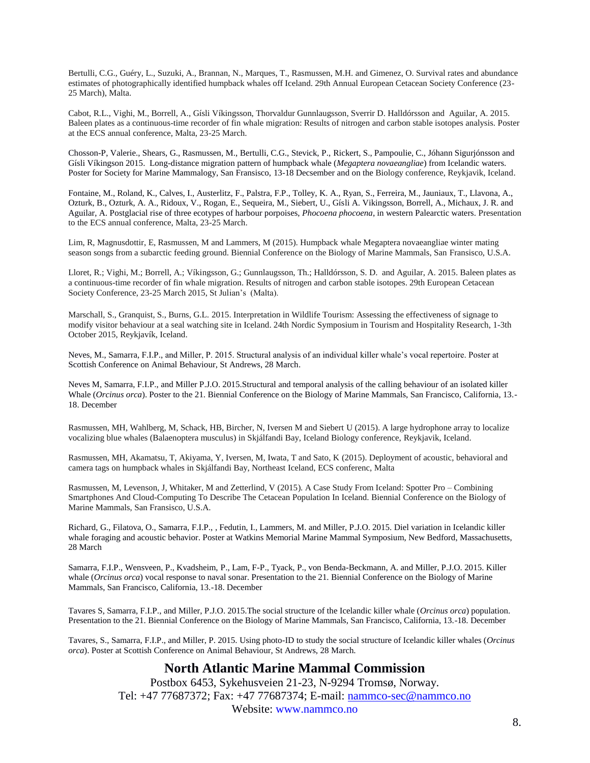Bertulli, C.G., Guéry, L., Suzuki, A., Brannan, N., Marques, T., Rasmussen, M.H. and Gimenez, O. Survival rates and abundance estimates of photographically identified humpback whales off Iceland. 29th Annual European Cetacean Society Conference (23- 25 March), Malta.

Cabot, R.L., Vighi, M., Borrell, A., Gísli Víkingsson, Thorvaldur Gunnlaugsson, Sverrir D. Halldórsson and Aguilar, A. 2015. Baleen plates as a continuous-time recorder of fin whale migration: Results of nitrogen and carbon stable isotopes analysis. Poster at the ECS annual conference, Malta, 23-25 March.

Chosson-P, Valerie., Shears, G., Rasmussen, M., Bertulli, C.G., Stevick, P., Rickert, S., Pampoulie, C., Jóhann Sigurjónsson and Gísli Víkingson 2015. Long-distance migration pattern of humpback whale (*Megaptera novaeangliae*) from Icelandic waters. Poster for Society for Marine Mammalogy, San Fransisco, 13-18 Decsember and on the Biology conference, Reykjavik, Iceland.

Fontaine, M., Roland, K., Calves, I., Austerlitz, F., Palstra, F.P., Tolley, K. A., Ryan, S., Ferreira, M., Jauniaux, T., Llavona, A., Ozturk, B., Ozturk, A. A., Ridoux, V., Rogan, E., Sequeira, M., Siebert, U., Gísli A. Vikingsson, Borrell, A., Michaux, J. R. and Aguilar, A. Postglacial rise of three ecotypes of harbour porpoises, *Phocoena phocoena*, in western Palearctic waters. Presentation to the ECS annual conference, Malta, 23-25 March.

Lim, R, Magnusdottir, E, Rasmussen, M and Lammers, M (2015). Humpback whale Megaptera novaeangliae winter mating season songs from a subarctic feeding ground. Biennial Conference on the Biology of Marine Mammals, San Fransisco, U.S.A.

Lloret, R.; Vighi, M.; Borrell, A.; Víkingsson, G.; Gunnlaugsson, Th.; Halldórsson, S. D. and Aguilar, A. 2015. Baleen plates as a continuous-time recorder of fin whale migration. Results of nitrogen and carbon stable isotopes. 29th European Cetacean Society Conference, 23-25 March 2015, St Julian's (Malta).

Marschall, S., Granquist, S., Burns, G.L. 2015. Interpretation in Wildlife Tourism: Assessing the effectiveness of signage to modify visitor behaviour at a seal watching site in Iceland. 24th Nordic Symposium in Tourism and Hospitality Research, 1-3th October 2015, Reykjavík, Iceland.

Neves, M., Samarra, F.I.P., and Miller, P. 2015. Structural analysis of an individual killer whale's vocal repertoire. Poster at Scottish Conference on Animal Behaviour, St Andrews, 28 March.

Neves M, Samarra, F.I.P., and Miller P.J.O. 2015.Structural and temporal analysis of the calling behaviour of an isolated killer Whale (*Orcinus orca*). Poster to the 21. Biennial Conference on the Biology of Marine Mammals, San Francisco, California, 13.- 18. December

Rasmussen, MH, Wahlberg, M, Schack, HB, Bircher, N, Iversen M and Siebert U (2015). A large hydrophone array to localize vocalizing blue whales (Balaenoptera musculus) in Skjálfandi Bay, Iceland Biology conference, Reykjavik, Iceland.

Rasmussen, MH, Akamatsu, T, Akiyama, Y, Iversen, M, Iwata, T and Sato, K (2015). Deployment of acoustic, behavioral and camera tags on humpback whales in Skjálfandi Bay, Northeast Iceland, ECS conferenc, Malta

Rasmussen, M, Levenson, J, Whitaker, M and Zetterlind, V (2015). A Case Study From Iceland: Spotter Pro – Combining Smartphones And Cloud-Computing To Describe The Cetacean Population In Iceland. Biennial Conference on the Biology of Marine Mammals, San Fransisco, U.S.A.

Richard, G., Filatova, O., Samarra, F.I.P., , Fedutin, I., Lammers, M. and Miller, P.J.O. 2015. Diel variation in Icelandic killer whale foraging and acoustic behavior. Poster at Watkins Memorial Marine Mammal Symposium, New Bedford, Massachusetts, 28 March

Samarra, F.I.P., Wensveen, P., Kvadsheim, P., Lam, F-P., Tyack, P., von Benda-Beckmann, A. and Miller, P.J.O. 2015. Killer whale (*Orcinus orca*) vocal response to naval sonar. Presentation to the 21. Biennial Conference on the Biology of Marine Mammals, San Francisco, California, 13.-18. December

Tavares S, Samarra, F.I.P., and Miller, P.J.O. 2015.The social structure of the Icelandic killer whale (*Orcinus orca*) population. Presentation to the 21. Biennial Conference on the Biology of Marine Mammals, San Francisco, California, 13.-18. December

Tavares, S., Samarra, F.I.P., and Miller, P. 2015. Using photo-ID to study the social structure of Icelandic killer whales (*Orcinus orca*). Poster at Scottish Conference on Animal Behaviour, St Andrews, 28 March.

### **North Atlantic Marine Mammal Commission**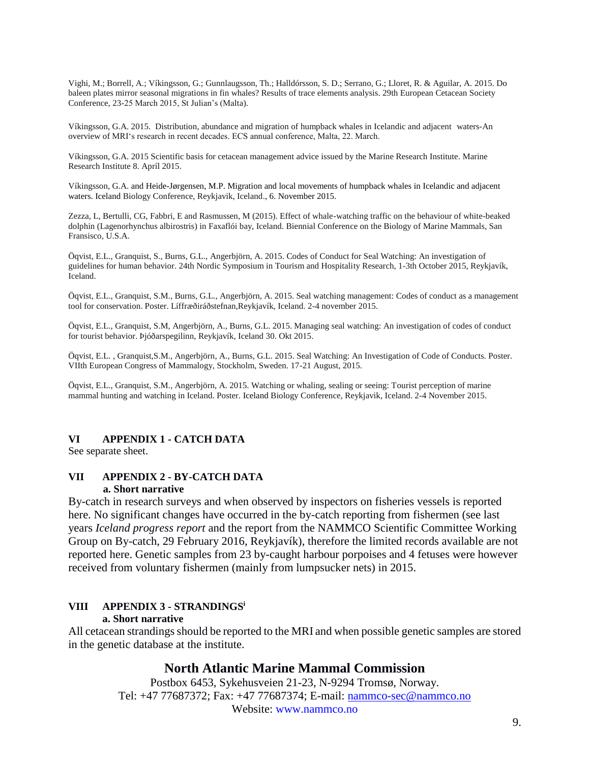Vighi, M.; Borrell, A.; Víkingsson, G.; Gunnlaugsson, Th.; Halldórsson, S. D.; Serrano, G.; Lloret, R. & Aguilar, A. 2015. Do baleen plates mirror seasonal migrations in fin whales? Results of trace elements analysis. 29th European Cetacean Society Conference, 23-25 March 2015, St Julian's (Malta).

Víkingsson, G.A. 2015. Distribution, abundance and migration of humpback whales in Icelandic and adjacent waters-An overview of MRI's research in recent decades. ECS annual conference, Malta, 22. March.

Víkingsson, G.A. 2015 Scientific basis for cetacean management advice issued by the Marine Research Institute. Marine Research Institute 8. Apríl 2015.

Víkingsson, G.A. and Heide-Jørgensen, M.P. Migration and local movements of humpback whales in Icelandic and adjacent waters. Iceland Biology Conference, Reykjavik, Iceland., 6. November 2015.

Zezza, L, Bertulli, CG, Fabbri, E and Rasmussen, M (2015). Effect of whale-watching traffic on the behaviour of white-beaked dolphin (Lagenorhynchus albirostris) in Faxaflói bay, Iceland. Biennial Conference on the Biology of Marine Mammals, San Fransisco, U.S.A.

Öqvist, E.L., Granquist, S., Burns, G.L., Angerbjörn, A. 2015. Codes of Conduct for Seal Watching: An investigation of guidelines for human behavior. 24th Nordic Symposium in Tourism and Hospitality Research, 1-3th October 2015, Reykjavík, Iceland.

Öqvist, E.L., Granquist, S.M., Burns, G.L., Angerbjörn, A. 2015. Seal watching management: Codes of conduct as a management tool for conservation. Poster. Líffræðiráðstefnan,Reykjavík, Iceland. 2-4 november 2015.

Öqvist, E.L., Granquist, S.M, Angerbjörn, A., Burns, G.L. 2015. Managing seal watching: An investigation of codes of conduct for tourist behavior. Þjóðarspegilinn, Reykjavík, Iceland 30. Okt 2015.

Öqvist, E.L. , Granquist,S.M., Angerbjörn, A., Burns, G.L. 2015. Seal Watching: An Investigation of Code of Conducts. Poster. VIIth European Congress of Mammalogy, Stockholm, Sweden. 17-21 August, 2015.

Öqvist, E.L., Granquist, S.M., Angerbjörn, A. 2015. Watching or whaling, sealing or seeing: Tourist perception of marine mammal hunting and watching in Iceland. Poster. Iceland Biology Conference, Reykjavik, Iceland. 2-4 November 2015.

#### **VI APPENDIX 1 - CATCH DATA**

See separate sheet.

#### **VII APPENDIX 2 - BY-CATCH DATA a. Short narrative**

By-catch in research surveys and when observed by inspectors on fisheries vessels is reported here. No significant changes have occurred in the by-catch reporting from fishermen (see last years *Iceland progress report* and the report from the NAMMCO Scientific Committee Working Group on By-catch, 29 February 2016, Reykjavík), therefore the limited records available are not reported here. Genetic samples from 23 by-caught harbour porpoises and 4 fetuses were however received from voluntary fishermen (mainly from lumpsucker nets) in 2015.

#### **VIII APPENDIX 3 - STRANDINGS<sup>i</sup>**

#### **a. Short narrative**

All cetacean strandings should be reported to the MRI and when possible genetic samples are stored in the genetic database at the institute.

### **North Atlantic Marine Mammal Commission**